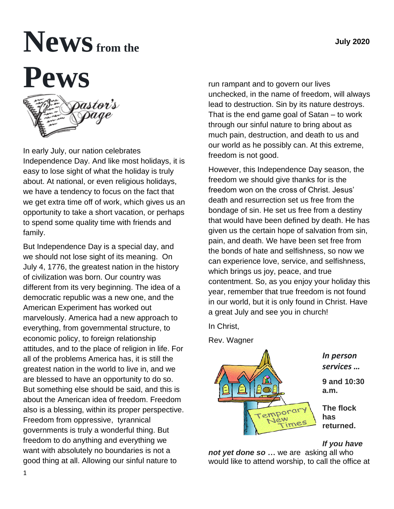# **Newsfrom the Pews**



In early July, our nation celebrates Independence Day. And like most holidays, it is easy to lose sight of what the holiday is truly about. At national, or even religious holidays, we have a tendency to focus on the fact that we get extra time off of work, which gives us an opportunity to take a short vacation, or perhaps to spend some quality time with friends and family.

But Independence Day is a special day, and we should not lose sight of its meaning. On July 4, 1776, the greatest nation in the history of civilization was born. Our country was different from its very beginning. The idea of a democratic republic was a new one, and the American Experiment has worked out marvelously. America had a new approach to everything, from governmental structure, to economic policy, to foreign relationship attitudes, and to the place of religion in life. For all of the problems America has, it is still the greatest nation in the world to live in, and we are blessed to have an opportunity to do so. But something else should be said, and this is about the American idea of freedom. Freedom also is a blessing, within its proper perspective. Freedom from oppressive, tyrannical governments is truly a wonderful thing. But freedom to do anything and everything we want with absolutely no boundaries is not a good thing at all. Allowing our sinful nature to

run rampant and to govern our lives unchecked, in the name of freedom, will always lead to destruction. Sin by its nature destroys. That is the end game goal of Satan – to work through our sinful nature to bring about as much pain, destruction, and death to us and our world as he possibly can. At this extreme, freedom is not good.

However, this Independence Day season, the freedom we should give thanks for is the freedom won on the cross of Christ. Jesus' death and resurrection set us free from the bondage of sin. He set us free from a destiny that would have been defined by death. He has given us the certain hope of salvation from sin, pain, and death. We have been set free from the bonds of hate and selfishness, so now we can experience love, service, and selfishness, which brings us joy, peace, and true contentment. So, as you enjoy your holiday this year, remember that true freedom is not found in our world, but it is only found in Christ. Have a great July and see you in church!

In Christ,



## *If you have*

*not yet done so* **…** we are asking all who would like to attend worship, to call the office at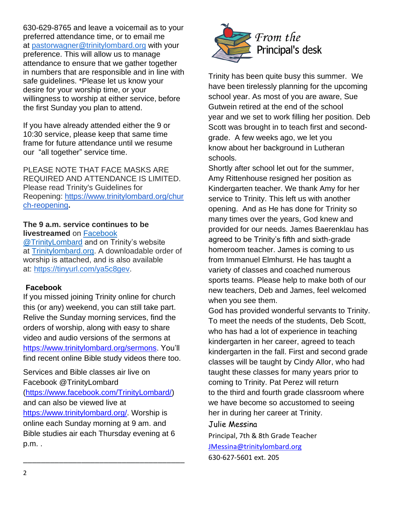630-629-8765 and leave a voicemail as to your preferred attendance time, or to email me at [pastorwagner@trinitylombard.org](mailto:pastorwagner@trinitylombard.org) with your preference. This will allow us to manage attendance to ensure that we gather together in numbers that are responsible and in line with safe guidelines. \*Please let us know your desire for your worship time, or your willingness to worship at either service, before the first Sunday you plan to attend.

If you have already attended either the 9 or 10:30 service, please keep that same time frame for future attendance until we resume our "all together" service time.

PLEASE NOTE THAT FACE MASKS ARE REQUIRED AND ATTENDANCE IS LIMITED. Please read Trinity's Guidelines for Reopening: [https://www.trinitylombard.org/chur](https://www.trinitylombard.org/church-reopening) [ch-reopening](https://www.trinitylombard.org/church-reopening)**.**

#### **The 9 a.m. service continues to be livestreamed** on [Facebook](https://www.facebook.com/TrinityLombard/)

[@TrinityLombard](https://www.facebook.com/TrinityLombard/) and on Trinity's website at [Trinitylombard.org.](https://www.trinitylombard.org/) A downloadable order of worship is attached, and is also available at: [https://tinyurl.com/ya5c8gev.](https://tinyurl.com/ya5c8gev)

## **Facebook**

If you missed joining Trinity online for church this (or any) weekend, you can still take part. Relive the Sunday morning services, find the orders of worship, along with easy to share video and audio versions of the sermons at [https://www.trinitylombard.org/sermons.](about:blank) You'll find recent online Bible study videos there too.

Services and Bible classes air live on Facebook @TrinityLombard [\(https://www.facebook.com/TrinityLombard/\)](about:blank) and can also be viewed live at [https://www.trinitylombard.org/.](about:blank) Worship is online each Sunday morning at 9 am. and Bible studies air each Thursday evening at 6 p.m. .

\_\_\_\_\_\_\_\_\_\_\_\_\_\_\_\_\_\_\_\_\_\_\_\_\_\_\_\_\_\_\_\_\_\_\_\_



Trinity has been quite busy this summer. We have been tirelessly planning for the upcoming school year. As most of you are aware, Sue Gutwein retired at the end of the school year and we set to work filling her position. Deb Scott was brought in to teach first and secondgrade. A few weeks ago, we let you know about her background in Lutheran schools.

Shortly after school let out for the summer, Amy Rittenhouse resigned her position as Kindergarten teacher. We thank Amy for her service to Trinity. This left us with another opening. And as He has done for Trinity so many times over the years, God knew and provided for our needs. James Baerenklau has agreed to be Trinity's fifth and sixth-grade homeroom teacher. James is coming to us from Immanuel Elmhurst. He has taught a variety of classes and coached numerous sports teams. Please help to make both of our new teachers, Deb and James, feel welcomed when you see them.

God has provided wonderful servants to Trinity. To meet the needs of the students, Deb Scott, who has had a lot of experience in teaching kindergarten in her career, agreed to teach kindergarten in the fall. First and second grade classes will be taught by Cindy Allor, who had taught these classes for many years prior to coming to Trinity. Pat Perez will return to the third and fourth grade classroom where we have become so accustomed to seeing her in during her career at Trinity.

#### Julie Messina

Principal, 7th & 8th Grade Teacher [JMessina@trinitylombard.org](mailto:JMessina@trinitylombard.org)

630-627-5601 ext. 205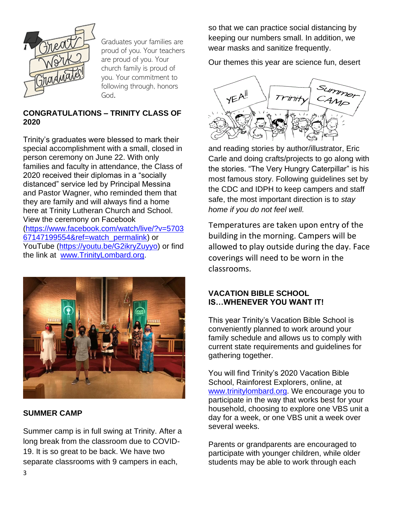

Graduates your families are proud of you. Your teachers are proud of you. Your church family is proud of you. Your commitment to following through, honors God.

## **CONGRATULATIONS – TRINITY CLASS OF 2020**

Trinity's graduates were blessed to mark their special accomplishment with a small, closed in person ceremony on June 22. With only families and faculty in attendance, the Class of 2020 received their diplomas in a "socially distanced" service led by Principal Messina and Pastor Wagner, who reminded them that they are family and will always find a home here at Trinity Lutheran Church and School. View the ceremony on Facebook [\(https://www.facebook.com/watch/live/?v=5703](about:blank) [67147199554&ref=watch\\_permalink\)](about:blank) or YouTube [\(https://youtu.be/G2ikryZuyyo\)](about:blank) or find the link at [www.TrinityLombard.org.](about:blank)



## **SUMMER CAMP**

Summer camp is in full swing at Trinity. After a long break from the classroom due to COVID-19. It is so great to be back. We have two separate classrooms with 9 campers in each,

so that we can practice social distancing by keeping our numbers small. In addition, we wear masks and sanitize frequently.

Our themes this year are science fun, desert



and reading stories by author/illustrator, Eric Carle and doing crafts/projects to go along with the stories. "The Very Hungry Caterpillar" is his most famous story. Following guidelines set by the CDC and IDPH to keep campers and staff safe, the most important direction is to *stay home if you do not feel well.* 

Temperatures are taken upon entry of the building in the morning. Campers will be allowed to play outside during the day. Face coverings will need to be worn in the classrooms.

## **VACATION BIBLE SCHOOL IS…WHENEVER YOU WANT IT!**

This year Trinity's Vacation Bible School is conveniently planned to work around your family schedule and allows us to comply with current state requirements and guidelines for gathering together.

You will find Trinity's 2020 Vacation Bible School, Rainforest Explorers, online, at [www.trinitylombard.org.](about:blank) We encourage you to participate in the way that works best for your household, choosing to explore one VBS unit a day for a week, or one VBS unit a week over several weeks.

Parents or grandparents are encouraged to participate with younger children, while older students may be able to work through each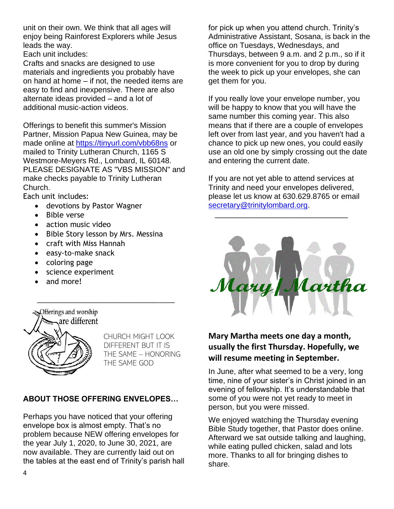unit on their own. We think that all ages will enjoy being Rainforest Explorers while Jesus leads the way.

Each unit includes:

Crafts and snacks are designed to use materials and ingredients you probably have on hand at home – if not, the needed items are easy to find and inexpensive. There are also alternate ideas provided – and a lot of additional music-action videos.

Offerings to benefit this summer's Mission Partner, Mission Papua New Guinea, may be made online at [https://tinyurl.com/vbb68ns](about:blank) or mailed to Trinity Lutheran Church, 1165 S Westmore-Meyers Rd., Lombard, IL 60148. PLEASE DESIGNATE AS "VBS MISSION" and make checks payable to Trinity Lutheran Church.

Each unit includes:

- devotions by Pastor Wagner
- Bible verse
- action music video
- Bible Story lesson by Mrs. Messina

\_\_\_\_\_\_\_\_\_\_\_\_\_\_\_\_\_\_\_\_\_\_\_\_\_\_\_\_\_\_\_\_\_\_

- craft with Miss Hannah
- easy-to-make snack
- coloring page
- science experiment
- and more!

Merings and worship .are different

CHURCH MIGHT LOOK DIFFERENT BUT IT IS THE SAME – HONORING THE SAME GOD

## **ABOUT THOSE OFFERING ENVELOPES…**

Perhaps you have noticed that your offering envelope box is almost empty. That's no problem because NEW offering envelopes for the year July 1, 2020, to June 30, 2021, are now available. They are currently laid out on the tables at the east end of Trinity's parish hall for pick up when you attend church. Trinity's Administrative Assistant, Sosana, is back in the office on Tuesdays, Wednesdays, and Thursdays, between 9 a.m. and 2 p.m., so if it is more convenient for you to drop by during the week to pick up your envelopes, she can get them for you.

If you really love your envelope number, you will be happy to know that you will have the same number this coming year. This also means that if there are a couple of envelopes left over from last year, and you haven't had a chance to pick up new ones, you could easily use an old one by simply crossing out the date and entering the current date.

If you are not yet able to attend services at Trinity and need your envelopes delivered, please let us know at 630.629.8765 or email [secretary@trinitylombard.org.](mailto:secretary@trinitylombard.org)

 $\overline{\phantom{a}}$  , and the contract of the contract of the contract of the contract of the contract of the contract of the contract of the contract of the contract of the contract of the contract of the contract of the contrac



## **Mary Martha meets one day a month, usually the first Thursday. Hopefully, we will resume meeting in September.**

In June, after what seemed to be a very, long time, nine of your sister's in Christ joined in an evening of fellowship. It's understandable that some of you were not yet ready to meet in person, but you were missed.

We enjoyed watching the Thursday evening Bible Study together, that Pastor does online. Afterward we sat outside talking and laughing, while eating pulled chicken, salad and lots more. Thanks to all for bringing dishes to share.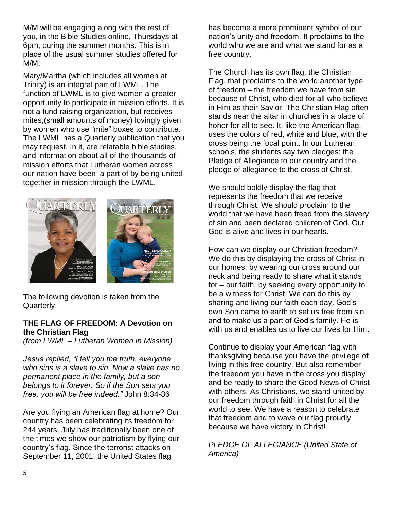M/M will be engaging along with the rest of you, in the Bible Studies online, Thursdays at 6pm, during the summer months. This is in place of the usual summer studies offered for M/M.

Mary/Martha (which includes all women at Trinity) is an integral part of LWML. The function of LWML is to give women a greater opportunity to participate in mission efforts. It is not a fund raising organization, but receives mites,(small amounts of money) lovingly given by women who use "mite" boxes to contribute. The LWML has a Quarterly publication that you may request. In it, are relatable bible studies, and information about all of the thousands of mission efforts that Lutheran women across our nation have been a part of by being united together in mission through the LWML.



The following devotion is taken from the Quarterly.

## **THE FLAG OF FREEDOM: A Devotion on the Christian Flag**

*(from LWML – Lutheran Women in Mission)*

*Jesus replied, "I tell you the truth, everyone who sins is a slave to sin. Now a slave has no permanent place in the family, but a son belongs to it forever. So if the Son sets you free, you will be free indeed."* John 8:34-36

Are you flying an American flag at home? Our country has been celebrating its freedom for 244 years. July has traditionally been one of the times we show our patriotism by flying our country's flag. Since the terrorist attacks on September 11, 2001, the United States flag

has become a more prominent symbol of our nation's unity and freedom. It proclaims to the world who we are and what we stand for as a free country.

The Church has its own flag, the Christian Flag, that proclaims to the world another type of freedom – the freedom we have from sin because of Christ, who died for all who believe in Him as their Savior. The Christian Flag often stands near the altar in churches in a place of honor for all to see. It, like the American flag, uses the colors of red, white and blue, with the cross being the focal point. In our Lutheran schools, the students say two pledges: the Pledge of Allegiance to our country and the pledge of allegiance to the cross of Christ.

We should boldly display the flag that represents the freedom that we receive through Christ. We should proclaim to the world that we have been freed from the slavery of sin and been declared children of God. Our God is alive and lives in our hearts.

How can we display our Christian freedom? We do this by displaying the cross of Christ in our homes; by wearing our cross around our neck and being ready to share what it stands for – our faith; by seeking every opportunity to be a witness for Christ. We can do this by sharing and living our faith each day. God's own Son came to earth to set us free from sin and to make us a part of God's family. He is with us and enables us to live our lives for Him.

Continue to display your American flag with thanksgiving because you have the privilege of living in this free country. But also remember the freedom you have in the cross you display and be ready to share the Good News of Christ with others. As Christians, we stand united by our freedom through faith in Christ for all the world to see. We have a reason to celebrate that freedom and to wave our flag proudly because we have victory in Christ!

*PLEDGE OF ALLEGIANCE (United State of America)*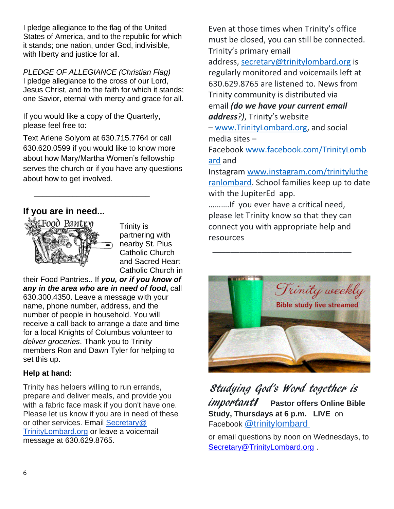I pledge allegiance to the flag of the United States of America, and to the republic for which it stands; one nation, under God, indivisible, with liberty and justice for all.

*PLEDGE OF ALLEGIANCE (Christian Flag)* I pledge allegiance to the cross of our Lord, Jesus Christ, and to the faith for which it stands; one Savior, eternal with mercy and grace for all.

If you would like a copy of the Quarterly, please feel free to:

 $\frac{1}{\sqrt{2}}$  ,  $\frac{1}{\sqrt{2}}$  ,  $\frac{1}{\sqrt{2}}$  ,  $\frac{1}{\sqrt{2}}$  ,  $\frac{1}{\sqrt{2}}$  ,  $\frac{1}{\sqrt{2}}$  ,  $\frac{1}{\sqrt{2}}$  ,  $\frac{1}{\sqrt{2}}$  ,  $\frac{1}{\sqrt{2}}$  ,  $\frac{1}{\sqrt{2}}$  ,  $\frac{1}{\sqrt{2}}$  ,  $\frac{1}{\sqrt{2}}$  ,  $\frac{1}{\sqrt{2}}$  ,  $\frac{1}{\sqrt{2}}$  ,  $\frac{1}{\sqrt{2}}$ 

Text Arlene Solyom at 630.715.7764 or call 630.620.0599 if you would like to know more about how Mary/Martha Women's fellowship serves the church or if you have any questions about how to get involved.

## **If you are in need...**



Trinity is partnering with nearby St. Pius Catholic Church and Sacred Heart Catholic Church in

their Food Pantries.. If *you, or if you know of any in the area who are in need of food***,** call 630.300.4350. Leave a message with your name, phone number, address, and the number of people in household. You will receive a call back to arrange a date and time for a local Knights of Columbus volunteer to *deliver groceries*. Thank you to Trinity members Ron and Dawn Tyler for helping to set this up.

## **Help at hand:**

Trinity has helpers willing to run errands, prepare and deliver meals, and provide you with a fabric face mask if you don't have one. Please let us know if you are in need of these or other services. Email [Secretary@](mailto:Secretary@TrinityLombard.org)  [TrinityLombard.org](mailto:Secretary@TrinityLombard.org) or leave a voicemail message at 630.629.8765.

Even at those times when Trinity's office must be closed, you can still be connected. Trinity's primary email

address, [secretary@trinitylombard.org](mailto:secretary@trinitylombard.org) is regularly monitored and voicemails left at 630.629.8765 are listened to. News from Trinity community is distributed via email *(do we have your current email* 

*address?)*, Trinity's website

– [www.TrinityLombard.org,](http://www.trinitylombard.org/) and social media sites –

Facebook [www.facebook.com/TrinityLomb](http://www.facebook.com/TrinityLombard/) [ard](http://www.facebook.com/TrinityLombard/) and

Instagram [www.instagram.com/trinityluthe](http://www.instagram.com/trinitylutheranlombard/) [ranlombard.](http://www.instagram.com/trinitylutheranlombard/) School families keep up to date with the JupiterEd app.

……….If you ever have a critical need, please let Trinity know so that they can connect you with appropriate help and resources

 $\overline{\phantom{a}}$  , which is the contract of the contract of the contract of  $\overline{\phantom{a}}$ 



Studying God's Word together is important! **Pastor offers Online Bible Study, Thursdays at 6 p.m. LIVE** on Facebook [@trinitylombard](https://www.facebook.com/TrinityLombard/)

or email questions by noon on Wednesdays, to [Secretary@TrinityLombard.org](mailto:Secretary@TrinityLombard.org) .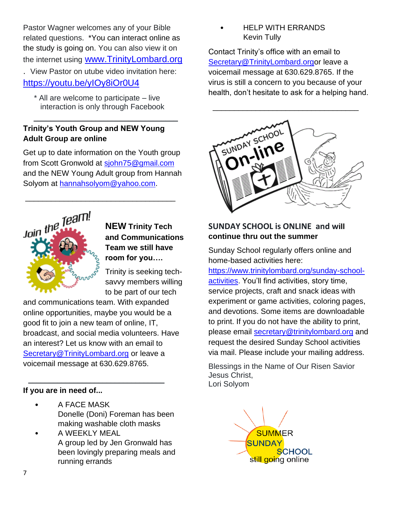Pastor Wagner welcomes any of your Bible related questions. \*You can interact online as the study is going on. You can also view it on the internet using [www.TrinityLombard.org](http://www.trinitylombard.org/)

. View Pastor on utube video invitation here: <https://youtu.be/yIOy8iOr0U4>

 \* All are welcome to participate – live interaction is only through Facebook

 $\overline{\phantom{a}}$ 

## **Trinity's Youth Group and NEW Young Adult Group are online**

Get up to date information on the Youth group from Scott Gronwold at [sjohn75@gmail.com](about:blank) and the NEW Young Adult group from Hannah Solyom at [hannahsolyom@yahoo.com.](about:blank)

\_\_\_\_\_\_\_\_\_\_\_\_\_\_\_\_\_\_\_\_\_\_\_\_\_\_\_\_\_\_\_\_\_\_\_



**NEW Trinity Tech and Communications Team we still have room for you….**

Trinity is seeking techsavvy members willing to be part of our tech

and communications team. With expanded online opportunities, maybe you would be a good fit to join a new team of online, IT, broadcast, and social media volunteers. Have an interest? Let us know with an email to [Secretary@TrinityLombard.org](about:blank) or leave a voicemail message at 630.629.8765.

 $\frac{1}{2}$  ,  $\frac{1}{2}$  ,  $\frac{1}{2}$  ,  $\frac{1}{2}$  ,  $\frac{1}{2}$  ,  $\frac{1}{2}$  ,  $\frac{1}{2}$  ,  $\frac{1}{2}$  ,  $\frac{1}{2}$  ,  $\frac{1}{2}$  ,  $\frac{1}{2}$  ,  $\frac{1}{2}$  ,  $\frac{1}{2}$  ,  $\frac{1}{2}$  ,  $\frac{1}{2}$  ,  $\frac{1}{2}$  ,  $\frac{1}{2}$  ,  $\frac{1}{2}$  ,  $\frac{1$ 

## **If you are in need of...**

- A FACE MASK Donelle (Doni) Foreman has been making washable cloth masks
- A WEEKLY MEAL A group led by Jen Gronwald has been lovingly preparing meals and running errands

• HELP WITH ERRANDS Kevin Tully

Contact Trinity's office with an email to [Secretary@TrinityLombard.orgo](about:blank)r leave a voicemail message at 630.629.8765. If the virus is still a concern to you because of your health, don't hesitate to ask for a helping hand.



## **SUNDAY SCHOOL is ONLINE and will continue thru out the summer**

Sunday School regularly offers online and home-based activities here:

[https://www.trinitylombard.org/sunday-school](about:blank)[activities.](about:blank) You'll find activities, story time, service projects, craft and snack ideas with experiment or game activities, coloring pages, and devotions. Some items are downloadable to print. If you do not have the ability to print, please email [secretary@trinitylombard.org](about:blank) and request the desired Sunday School activities via mail. Please include your mailing address.

Blessings in the Name of Our Risen Savior Jesus Christ, Lori Solyom

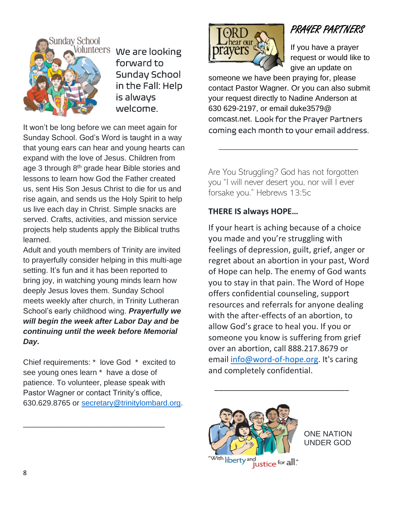

Volunteers We are looking forward to Sunday School in the Fall: Help is always welcome.

It won't be long before we can meet again for Sunday School. God's Word is taught in a way that young ears can hear and young hearts can expand with the love of Jesus. Children from age 3 through 8<sup>th</sup> grade hear Bible stories and lessons to learn how God the Father created us, sent His Son Jesus Christ to die for us and rise again, and sends us the Holy Spirit to help us live each day in Christ. Simple snacks are served. Crafts, activities, and mission service projects help students apply the Biblical truths learned.

Adult and youth members of Trinity are invited to prayerfully consider helping in this multi-age setting. It's fun and it has been reported to bring joy, in watching young minds learn how deeply Jesus loves them. Sunday School meets weekly after church, in Trinity Lutheran School's early childhood wing. *Prayerfully we will begin the week after Labor Day and be continuing until the week before Memorial Day.*

Chief requirements: \* love God \* excited to see young ones learn \* have a dose of patience. To volunteer, please speak with Pastor Wagner or contact Trinity's office, 630.629.8765 or [secretary@trinitylombard.org.](mailto:secretary@trinitylombard.org)

\_\_\_\_\_\_\_\_\_\_\_\_\_\_\_\_\_\_\_\_\_\_\_\_\_\_\_\_\_\_\_\_\_



# PRAYER PARTNERS

If you have a prayer request or would like to give an update on

someone we have been praying for, please contact Pastor Wagner. Or you can also submit your request directly to Nadine Anderson at 630 629-2197, or email duke3579@ comcast.net. Look for the Prayer Partners coming each month to your email address.

Are You Struggling? God has not forgotten you "I will never desert you, nor will I ever forsake you." Hebrews 13:5c

 $\frac{1}{\sqrt{2}}$  ,  $\frac{1}{\sqrt{2}}$  ,  $\frac{1}{\sqrt{2}}$  ,  $\frac{1}{\sqrt{2}}$  ,  $\frac{1}{\sqrt{2}}$  ,  $\frac{1}{\sqrt{2}}$  ,  $\frac{1}{\sqrt{2}}$  ,  $\frac{1}{\sqrt{2}}$  ,  $\frac{1}{\sqrt{2}}$  ,  $\frac{1}{\sqrt{2}}$  ,  $\frac{1}{\sqrt{2}}$  ,  $\frac{1}{\sqrt{2}}$  ,  $\frac{1}{\sqrt{2}}$  ,  $\frac{1}{\sqrt{2}}$  ,  $\frac{1}{\sqrt{2}}$ 

## **THERE IS always HOPE…**

If your heart is aching because of a choice you made and you're struggling with feelings of depression, guilt, grief, anger or regret about an abortion in your past, Word of Hope can help. The enemy of God wants you to stay in that pain. The Word of Hope offers confidential counseling, support resources and referrals for anyone dealing with the after-effects of an abortion, to allow God's grace to heal you. If you or someone you know is suffering from grief over an abortion, call 888.217.8679 or email [info@word-of-hope.org.](mailto:info@word-of-hope.org) It's caring and completely confidential.

 $\overline{\phantom{a}}$  , and the set of the set of the set of the set of the set of the set of the set of the set of the set of the set of the set of the set of the set of the set of the set of the set of the set of the set of the s



ONE NATION UNDER GOD

With liberty and **interest of the U.**"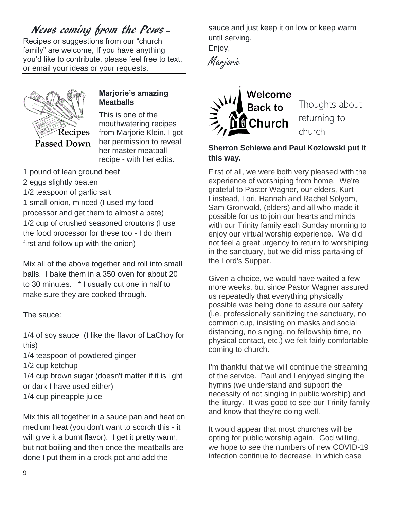## News coming from the Pews –

Recipes or suggestions from our "church family" are welcome, If you have anything you'd like to contribute, please feel free to text, or email your ideas or your requests.



## **Marjorie's amazing Meatballs**

This is one of the mouthwatering recipes from Marjorie Klein. I got her permission to reveal her master meatball recipe - with her edits.

1 pound of lean ground beef

- 2 eggs slightly beaten
- 1/2 teaspoon of garlic salt

1 small onion, minced (I used my food processor and get them to almost a pate) 1/2 cup of crushed seasoned croutons (I use the food processor for these too - I do them first and follow up with the onion)

Mix all of the above together and roll into small balls. I bake them in a 350 oven for about 20 to 30 minutes. \* I usually cut one in half to make sure they are cooked through.

The sauce:

1/4 of soy sauce (I like the flavor of LaChoy for this)

- 1/4 teaspoon of powdered ginger
- 1/2 cup ketchup

1/4 cup brown sugar (doesn't matter if it is light or dark I have used either)

1/4 cup pineapple juice

Mix this all together in a sauce pan and heat on medium heat (you don't want to scorch this - it will give it a burnt flavor). I get it pretty warm, but not boiling and then once the meatballs are done I put them in a crock pot and add the

sauce and just keep it on low or keep warm until serving.

Enjoy,





Thoughts about returning to church

## **Sherron Schiewe and Paul Kozlowski put it this way.**

First of all, we were both very pleased with the experience of worshiping from home. We're grateful to Pastor Wagner, our elders, Kurt Linstead, Lori, Hannah and Rachel Solyom, Sam Gronwold, (elders) and all who made it possible for us to join our hearts and minds with our Trinity family each Sunday morning to enjoy our virtual worship experience. We did not feel a great urgency to return to worshiping in the sanctuary, but we did miss partaking of the Lord's Supper.

Given a choice, we would have waited a few more weeks, but since Pastor Wagner assured us repeatedly that everything physically possible was being done to assure our safety (i.e. professionally sanitizing the sanctuary, no common cup, insisting on masks and social distancing, no singing, no fellowship time, no physical contact, etc.) we felt fairly comfortable coming to church.

I'm thankful that we will continue the streaming of the service. Paul and I enjoyed singing the hymns (we understand and support the necessity of not singing in public worship) and the liturgy. It was good to see our Trinity family and know that they're doing well.

It would appear that most churches will be opting for public worship again. God willing, we hope to see the numbers of new COVID-19 infection continue to decrease, in which case